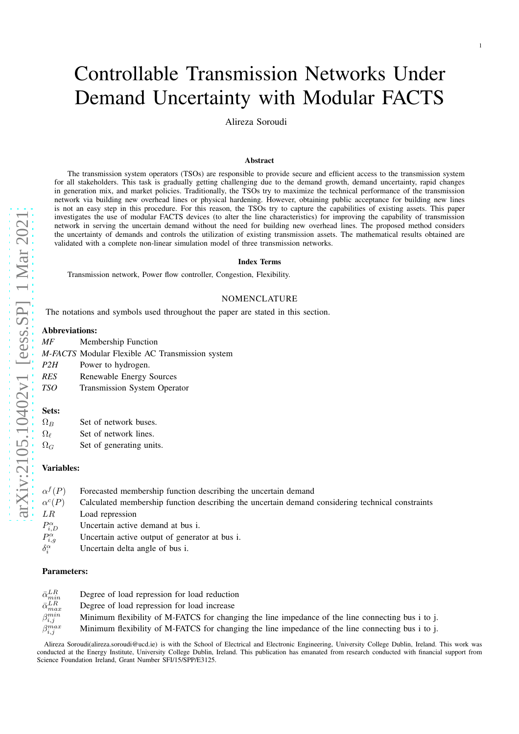# Controllable Transmission Networks Under Demand Uncertainty with Modular FACTS

1

Alireza Soroudi

#### Abstract

The transmission system operators (TSOs) are responsible to provide secure and efficient access to the transmission system for all stakeholders. This task is gradually getting challenging due to the demand growth, demand uncertainty, rapid changes in generation mix, and market policies. Traditionally, the TSOs try to maximize the technical performance of the transmission network via building new overhead lines or physical hardening. However, obtaining public acceptance for building new lines is not an easy step in this procedure. For this reason, the TSOs try to capture the capabilities of existing assets. This paper investigates the use of modular FACTS devices (to alter the line characteristics) for improving the capability of transmission network in serving the uncertain demand without the need for building new overhead lines. The proposed method considers the uncertainty of demands and controls the utilization of existing transmission assets. The mathematical results obtained are validated with a complete non-linear simulation model of three transmission networks.

# Index Terms

Transmission network, Power flow controller, Congestion, Flexibility.

# NOMENCLATURE

The notations and symbols used throughout the paper are stated in this section.

#### Abbreviations:

*MF* Membership Function

*M-FACTS* Modular Flexible AC Transmission system

- *P2H* Power to hydrogen.
- *RES* Renewable Energy Sources
- *TSO* Transmission System Operator

#### Sets:

 $\Omega_B$  Set of network buses.

- $\Omega_{\ell}$  Set of network lines.
- $\Omega_G$  Set of generating units.

## Variables:

| $\alpha^{f}(P)$     | Forecasted membership function describing the uncertain demand                                   |
|---------------------|--------------------------------------------------------------------------------------------------|
| $\alpha^c(P)$       | Calculated membership function describing the uncertain demand considering technical constraints |
| LR                  | Load repression                                                                                  |
| $P_{i,D}^{\alpha}$  | Uncertain active demand at bus i.                                                                |
| $P_{i,q}^{\alpha}$  | Uncertain active output of generator at bus i.                                                   |
| $\delta_i^{\alpha}$ | Uncertain delta angle of bus i.                                                                  |
|                     |                                                                                                  |

#### Parameters:

| $\bar{\alpha}_{min}^{LR}$ | Degree of load repression for load reduction                                                      |
|---------------------------|---------------------------------------------------------------------------------------------------|
| $\bar{\alpha}_{max}^{LR}$ | Degree of load repression for load increase                                                       |
| $\beta_{i,j}^{min}$       | Minimum flexibility of M-FATCS for changing the line impedance of the line connecting bus i to j. |
| $\beta_{i,j}^{max}$       | Minimum flexibility of M-FATCS for changing the line impedance of the line connecting bus i to j. |

Alireza Soroudi(alireza.soroudi@ucd.ie) is with the School of Electrical and Electronic Engineering, University College Dublin, Ireland. This work was conducted at the Energy Institute, University College Dublin, Ireland. This publication has emanated from research conducted with financial support from Science Foundation Ireland, Grant Number SFI/15/SPP/E3125.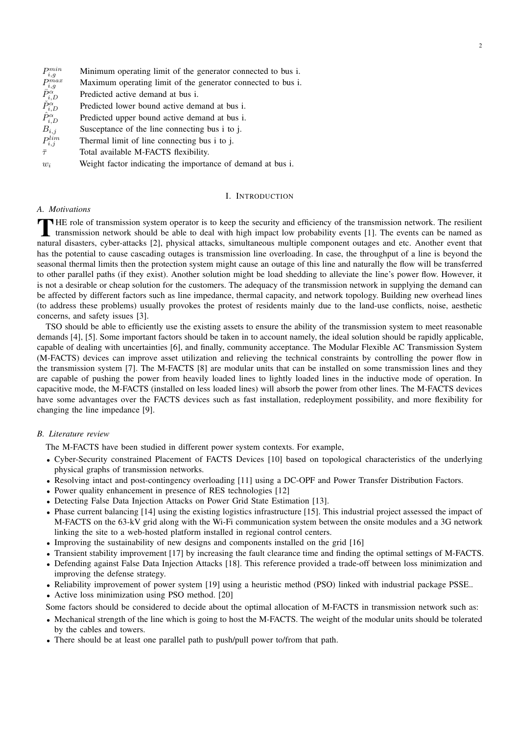| $P_{i,g}^{min}$                                    | Minimum operating limit of the generator connected to bus i. |
|----------------------------------------------------|--------------------------------------------------------------|
| $P_{i,g}^{max}$                                    | Maximum operating limit of the generator connected to bus i. |
|                                                    | Predicted active demand at bus i.                            |
| $\bar{P}^{\alpha}_{i,D}\ \check{P}^{\alpha}_{i,D}$ | Predicted lower bound active demand at bus i.                |
| $\hat{P}^{\alpha}_{i,D}$                           | Predicted upper bound active demand at bus i.                |
| $B_{i,j}$                                          | Susceptance of the line connecting bus i to j.               |
| $P_{i,j}^{lim}$                                    | Thermal limit of line connecting bus i to j.                 |
| $\bar{\tau}$                                       | Total available M-FACTS flexibility.                         |
| $w_i$                                              | Weight factor indicating the importance of demand at bus i.  |

## I. INTRODUCTION

# *A. Motivations*

 $\mathbf{\bar{T}}$ HE role of transmission system operator is to keep the security and efficiency of the transmission network. The resilient transmission network should be able to deal with high impact low probability events [1]. The events can be named as natural disasters, cyber-attacks [2], physical attacks, simultaneous multiple component outages and etc. Another event that has the potential to cause cascading outages is transmission line overloading. In case, the throughput of a line is beyond the seasonal thermal limits then the protection system might cause an outage of this line and naturally the flow will be transferred to other parallel paths (if they exist). Another solution might be load shedding to alleviate the line's power flow. However, it is not a desirable or cheap solution for the customers. The adequacy of the transmission network in supplying the demand can be affected by different factors such as line impedance, thermal capacity, and network topology. Building new overhead lines (to address these problems) usually provokes the protest of residents mainly due to the land-use conflicts, noise, aesthetic concerns, and safety issues [3].

TSO should be able to efficiently use the existing assets to ensure the ability of the transmission system to meet reasonable demands [4], [5]. Some important factors should be taken in to account namely, the ideal solution should be rapidly applicable, capable of dealing with uncertainties [6], and finally, community acceptance. The Modular Flexible AC Transmission System (M-FACTS) devices can improve asset utilization and relieving the technical constraints by controlling the power flow in the transmission system [7]. The M-FACTS [8] are modular units that can be installed on some transmission lines and they are capable of pushing the power from heavily loaded lines to lightly loaded lines in the inductive mode of operation. In capacitive mode, the M-FACTS (installed on less loaded lines) will absorb the power from other lines. The M-FACTS devices have some advantages over the FACTS devices such as fast installation, redeployment possibility, and more flexibility for changing the line impedance [9].

#### *B. Literature review*

The M-FACTS have been studied in different power system contexts. For example,

- Cyber-Security constrained Placement of FACTS Devices [10] based on topological characteristics of the underlying physical graphs of transmission networks.
- Resolving intact and post-contingency overloading [11] using a DC-OPF and Power Transfer Distribution Factors.
- Power quality enhancement in presence of RES technologies [12]
- Detecting False Data Injection Attacks on Power Grid State Estimation [13].
- Phase current balancing [14] using the existing logistics infrastructure [15]. This industrial project assessed the impact of M-FACTS on the 63-kV grid along with the Wi-Fi communication system between the onsite modules and a 3G network linking the site to a web-hosted platform installed in regional control centers.
- Improving the sustainability of new designs and components installed on the grid [16]
- Transient stability improvement [17] by increasing the fault clearance time and finding the optimal settings of M-FACTS.
- Defending against False Data Injection Attacks [18]. This reference provided a trade-off between loss minimization and improving the defense strategy.
- Reliability improvement of power system [19] using a heuristic method (PSO) linked with industrial package PSSE..
- Active loss minimization using PSO method. [20]
- Some factors should be considered to decide about the optimal allocation of M-FACTS in transmission network such as:
- Mechanical strength of the line which is going to host the M-FACTS. The weight of the modular units should be tolerated by the cables and towers.
- There should be at least one parallel path to push/pull power to/from that path.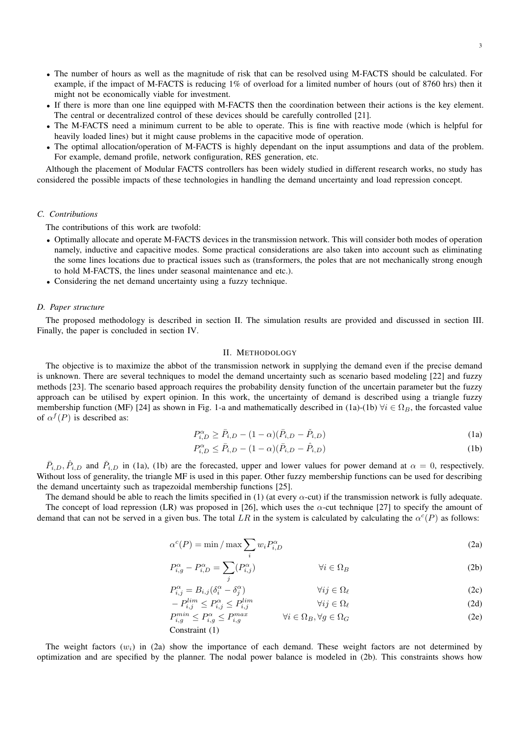- The number of hours as well as the magnitude of risk that can be resolved using M-FACTS should be calculated. For example, if the impact of M-FACTS is reducing 1% of overload for a limited number of hours (out of 8760 hrs) then it might not be economically viable for investment.
- If there is more than one line equipped with M-FACTS then the coordination between their actions is the key element. The central or decentralized control of these devices should be carefully controlled [21].
- The M-FACTS need a minimum current to be able to operate. This is fine with reactive mode (which is helpful for heavily loaded lines) but it might cause problems in the capacitive mode of operation.
- The optimal allocation/operation of M-FACTS is highly dependant on the input assumptions and data of the problem. For example, demand profile, network configuration, RES generation, etc.

Although the placement of Modular FACTS controllers has been widely studied in different research works, no study has considered the possible impacts of these technologies in handling the demand uncertainty and load repression concept.

# *C. Contributions*

The contributions of this work are twofold:

- Optimally allocate and operate M-FACTS devices in the transmission network. This will consider both modes of operation namely, inductive and capacitive modes. Some practical considerations are also taken into account such as eliminating the some lines locations due to practical issues such as (transformers, the poles that are not mechanically strong enough to hold M-FACTS, the lines under seasonal maintenance and etc.).
- Considering the net demand uncertainty using a fuzzy technique.

#### *D. Paper structure*

The proposed methodology is described in section II. The simulation results are provided and discussed in section III. Finally, the paper is concluded in section IV.

#### II. METHODOLOGY

The objective is to maximize the abbot of the transmission network in supplying the demand even if the precise demand is unknown. There are several techniques to model the demand uncertainty such as scenario based modeling [22] and fuzzy methods [23]. The scenario based approach requires the probability density function of the uncertain parameter but the fuzzy approach can be utilised by expert opinion. In this work, the uncertainty of demand is described using a triangle fuzzy membership function (MF) [24] as shown in Fig. 1-a and mathematically described in (1a)-(1b)  $\forall i \in \Omega_B$ , the forcasted value of  $\alpha^{f}(P)$  is described as:

$$
P_{i,D}^{\alpha} \ge \bar{P}_{i,D} - (1 - \alpha)(\bar{P}_{i,D} - \check{P}_{i,D})
$$
\n(1a)

$$
P_{i,D}^{\alpha} \le \bar{P}_{i,D} - (1 - \alpha)(\bar{P}_{i,D} - \hat{P}_{i,D})
$$
\n(1b)

 $\bar{P}_{i,D}, \hat{P}_{i,D}$  and  $\check{P}_{i,D}$  in (1a), (1b) are the forecasted, upper and lower values for power demand at  $\alpha = 0$ , respectively. Without loss of generality, the triangle MF is used in this paper. Other fuzzy membership functions can be used for describing the demand uncertainty such as trapezoidal membership functions [25].

The demand should be able to reach the limits specified in (1) (at every  $\alpha$ -cut) if the transmission network is fully adequate. The concept of load repression (LR) was proposed in [26], which uses the  $\alpha$ -cut technique [27] to specify the amount of demand that can not be served in a given bus. The total LR in the system is calculated by calculating the  $\alpha^c(P)$  as follows:

$$
\alpha^{c}(P) = \min / \max \sum_{i} w_{i} P_{i,D}^{\alpha}
$$
 (2a)

$$
P_{i,g}^{\alpha} - P_{i,D}^{\alpha} = \sum_{j} (P_{i,j}^{\alpha}) \qquad \qquad \forall i \in \Omega_B
$$
 (2b)

$$
P_{i,j}^{\alpha} = B_{i,j} (\delta_i^{\alpha} - \delta_j^{\alpha}) \qquad \qquad \forall ij \in \Omega_\ell
$$
 (2c)

$$
\lim_{i,j} \le P_{i,j}^{\alpha} \le P_{i,j}^{lim} \qquad \qquad \forall ij \in \Omega_{\ell}
$$
 (2d)

$$
P_{i,g}^{min} \le P_{i,g}^{\alpha} \le P_{i,g}^{max} \qquad \forall i \in \Omega_B, \forall g \in \Omega_G \tag{2e}
$$

Constraint (1)

 $- P$ 

The weight factors  $(w_i)$  in (2a) show the importance of each demand. These weight factors are not determined by optimization and are specified by the planner. The nodal power balance is modeled in (2b). This constraints shows how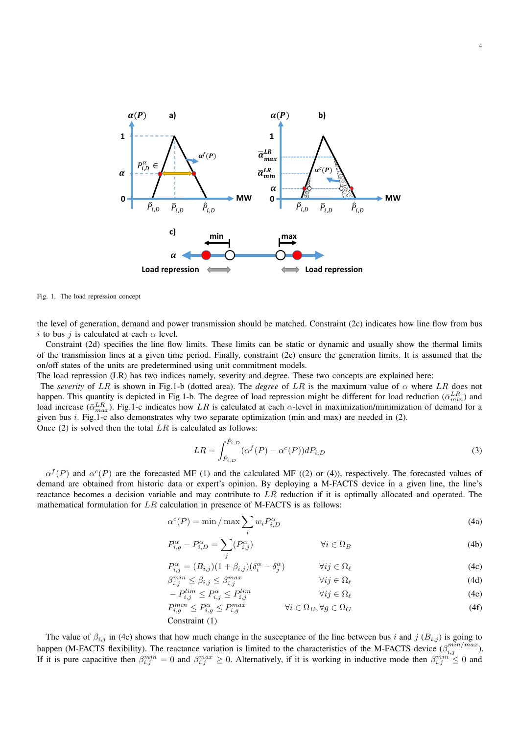

Fig. 1. The load repression concept

the level of generation, demand and power transmission should be matched. Constraint (2c) indicates how line flow from bus i to bus j is calculated at each  $\alpha$  level.

Constraint (2d) specifies the line flow limits. These limits can be static or dynamic and usually show the thermal limits of the transmission lines at a given time period. Finally, constraint (2e) ensure the generation limits. It is assumed that the on/off states of the units are predetermined using unit commitment models.

The load repression (LR) has two indices namely, severity and degree. These two concepts are explained here:

The *severity* of LR is shown in Fig.1-b (dotted area). The *degree* of LR is the maximum value of  $\alpha$  where LR does not happen. This quantity is depicted in Fig.1-b. The degree of load repression might be different for load reduction  $(\bar{\alpha}_{min}^{LR})$  and load increase ( $\bar{\alpha}_{max}^{LR}$ ). Fig.1-c indicates how  $LR$  is calculated at each  $\alpha$ -level in maximization/minimization of demand for a given bus i. Fig.1-c also demonstrates why two separate optimization (min and max) are needed in (2). Once  $(2)$  is solved then the total  $LR$  is calculated as follows:

> $LR = \int^{\hat{P}_{i,D}}$  $\int_{\check{P}_{i,D}} (\alpha^f(P) - \alpha^c(P))dP_{i,D}$  (3)

4

 $\alpha^{f}(P)$  and  $\alpha^{c}(P)$  are the forecasted MF (1) and the calculated MF ((2) or (4)), respectively. The forecasted values of demand are obtained from historic data or expert's opinion. By deploying a M-FACTS device in a given line, the line's reactance becomes a decision variable and may contribute to  $LR$  reduction if it is optimally allocated and operated. The mathematical formulation for  $LR$  calculation in presence of M-FACTS is as follows:

$$
\alpha^{c}(P) = \min / \max \sum_{i} w_{i} P_{i,D}^{\alpha}
$$
\n(4a)

$$
P_{i,g}^{\alpha} - P_{i,D}^{\alpha} = \sum_{j} (P_{i,j}^{\alpha}) \qquad \qquad \forall i \in \Omega_B
$$
 (4b)

$$
P_{i,j}^{\alpha} = (B_{i,j})(1 + \beta_{i,j})(\delta_i^{\alpha} - \delta_j^{\alpha}) \qquad \forall ij \in \Omega_\ell
$$
 (4c)

$$
\beta_{i,j}^{min} \le \beta_{i,j} \le \beta_{i,j}^{max} \qquad \qquad \forall ij \in \Omega_\ell \tag{4d}
$$

$$
-P_{i,j}^{lim} \le P_{i,j}^{\alpha} \le P_{i,j}^{lim} \qquad \forall ij \in \Omega_{\ell}
$$
\n
$$
P_{i,j}^{min} < P_{i,j}^{\alpha} < P_{i,j}^{\max} \qquad \forall i \in \Omega_{\Gamma} \ \forall a \in \Omega_{\Gamma} \qquad (4\epsilon)
$$
\n
$$
(4\epsilon)
$$
\n
$$
(4\epsilon)
$$
\n
$$
(4\epsilon)
$$

$$
P_{i,g}^{mn} \le P_{i,g}^{\alpha} \le P_{i,g}^{max} \qquad \forall i \in \Omega_B, \forall g \in \Omega_G
$$
\nConstant (1)

The value of  $\beta_{i,j}$  in (4c) shows that how much change in the susceptance of the line between bus i and j  $(B_{i,j})$  is going to happen (M-FACTS flexibility). The reactance variation is limited to the characteristics of the M-FACTS device  $(\beta_{i,j}^{min/max})$ . If it is pure capacitive then  $\beta_{i,j}^{min} = 0$  and  $\beta_{i,j}^{max} \ge 0$ . Alternatively, if it is working in inductive mode then  $\beta_{i,j}^{min} \le 0$  and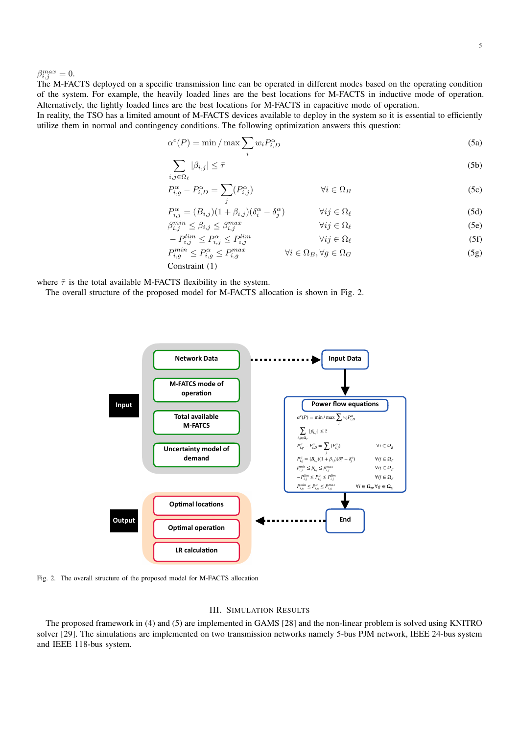$\beta_{i,j}^{max}=0.$ 

The M-FACTS deployed on a specific transmission line can be operated in different modes based on the operating condition of the system. For example, the heavily loaded lines are the best locations for M-FACTS in inductive mode of operation. Alternatively, the lightly loaded lines are the best locations for M-FACTS in capacitive mode of operation.

In reality, the TSO has a limited amount of M-FACTS devices available to deploy in the system so it is essential to efficiently utilize them in normal and contingency conditions. The following optimization answers this question:

$$
\alpha^{c}(P) = \min / \max \sum_{i} w_{i} P_{i,D}^{\alpha}
$$
\n(5a)

$$
\sum_{i,j \in \Omega_{\ell}} |\beta_{i,j}| \le \bar{\tau} \tag{5b}
$$

$$
P_{i,g}^{\alpha} - P_{i,D}^{\alpha} = \sum_{j} (P_{i,j}^{\alpha}) \qquad \qquad \forall i \in \Omega_B
$$
 (5c)

$$
P_{i,j}^{\alpha} = (B_{i,j})(1 + \beta_{i,j})(\delta_i^{\alpha} - \delta_j^{\alpha}) \qquad \forall ij \in \Omega_{\ell}
$$
\n(5d)

$$
\beta_{i,j}^{min} \le \beta_{i,j} \le \beta_{i,j}^{max} \qquad \qquad \forall ij \in \Omega_\ell \tag{5e}
$$

$$
-P_{i,j}^{lim} \le P_{i,j}^{\alpha} \le P_{i,j}^{lim} \qquad \qquad \forall ij \in \Omega_{\ell} \tag{5f}
$$

$$
P_{i,g}^{min} \le P_{i,g}^{\alpha} \le P_{i,g}^{max} \qquad \qquad \forall i \in \Omega_B, \forall g \in \Omega_G \tag{5g}
$$

Constraint (1)

where  $\bar{\tau}$  is the total available M-FACTS flexibility in the system.

The overall structure of the proposed model for M-FACTS allocation is shown in Fig. 2.



Fig. 2. The overall structure of the proposed model for M-FACTS allocation

# III. SIMULATION RESULTS

The proposed framework in (4) and (5) are implemented in GAMS [28] and the non-linear problem is solved using KNITRO solver [29]. The simulations are implemented on two transmission networks namely 5-bus PJM network, IEEE 24-bus system and IEEE 118-bus system.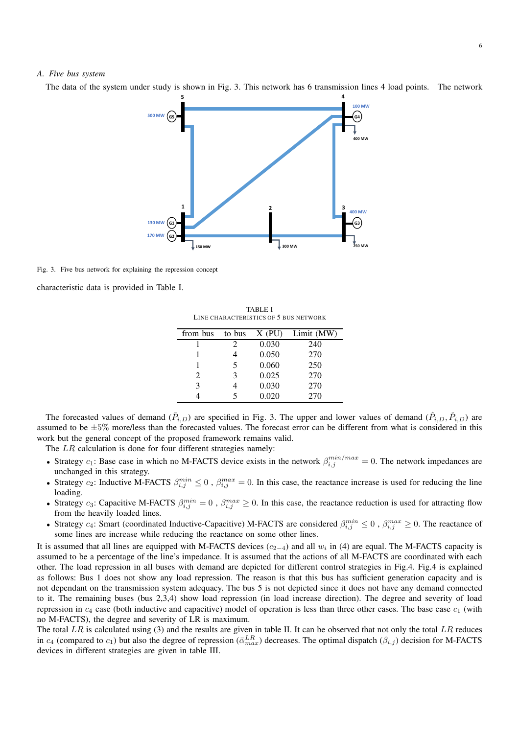# *A. Five bus system*

The data of the system under study is shown in Fig. 3. This network has 6 transmission lines 4 load points. The network



Fig. 3. Five bus network for explaining the repression concept

characteristic data is provided in Table I.

TABLE I LINE CHARACTERISTICS OF 5 BUS NETWORK

| from bus | to bus | $X$ (PU) | Limit (MW) |
|----------|--------|----------|------------|
|          | 2      | 0.030    | 240        |
|          |        | 0.050    | 270        |
|          | 5      | 0.060    | 250        |
| 2        | 3      | 0.025    | 270        |
| 3        |        | 0.030    | 270        |
|          |        | 0.020    | 270        |

The forecasted values of demand  $(\bar{P}_{i,D})$  are specified in Fig. 3. The upper and lower values of demand  $(\hat{P}_{i,D}, \check{P}_{i,D})$  are assumed to be  $\pm 5\%$  more/less than the forecasted values. The forecast error can be different from what is considered in this work but the general concept of the proposed framework remains valid.

The LR calculation is done for four different strategies namely:

- Strategy  $c_1$ : Base case in which no M-FACTS device exists in the network  $\beta_{i,j}^{min/max} = 0$ . The network impedances are unchanged in this strategy.
- Strategy  $c_2$ : Inductive M-FACTS  $\beta_{i,j}^{min} \leq 0$ ,  $\beta_{i,j}^{max} = 0$ . In this case, the reactance increase is used for reducing the line loading.
- Strategy  $c_3$ : Capacitive M-FACTS  $\beta_{i,j}^{min} = 0$ ,  $\beta_{i,j}^{max} \ge 0$ . In this case, the reactance reduction is used for attracting flow from the heavily loaded lines.
- Strategy  $c_4$ : Smart (coordinated Inductive-Capacitive) M-FACTS are considered  $\beta_{i,j}^{min} \leq 0$ ,  $\beta_{i,j}^{max} \geq 0$ . The reactance of some lines are increase while reducing the reactance on some other lines.

It is assumed that all lines are equipped with M-FACTS devices  $(c_{2-4})$  and all  $w_i$  in (4) are equal. The M-FACTS capacity is assumed to be a percentage of the line's impedance. It is assumed that the actions of all M-FACTS are coordinated with each other. The load repression in all buses with demand are depicted for different control strategies in Fig.4. Fig.4 is explained as follows: Bus 1 does not show any load repression. The reason is that this bus has sufficient generation capacity and is not dependant on the transmission system adequacy. The bus 5 is not depicted since it does not have any demand connected to it. The remaining buses (bus 2,3,4) show load repression (in load increase direction). The degree and severity of load repression in  $c_4$  case (both inductive and capacitive) model of operation is less than three other cases. The base case  $c_1$  (with no M-FACTS), the degree and severity of LR is maximum.

The total  $LR$  is calculated using (3) and the results are given in table II. It can be observed that not only the total  $LR$  reduces in  $c_4$  (compared to  $c_1$ ) but also the degree of repression ( $\bar{\alpha}_{max}^{LR}$ ) decreases. The optimal dispatch ( $\beta_{i,j}$ ) decision for M-FACTS devices in different strategies are given in table III.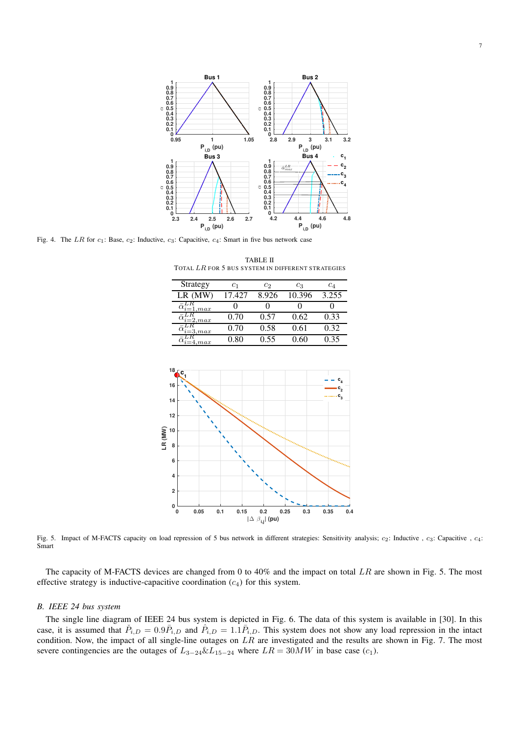

Fig. 4. The LR for  $c_1$ : Base,  $c_2$ : Inductive,  $c_3$ : Capacitive,  $c_4$ : Smart in five bus network case

TABLE II TOTAL LR FOR 5 BUS SYSTEM IN DIFFERENT STRATEGIES

| Strategy                                                 | C1     | $c_2$ | Cз     | $c_{4}$ |
|----------------------------------------------------------|--------|-------|--------|---------|
| $LR$ (MW)                                                | 17.427 | 8.926 | 10.396 | 3.255   |
| $\tilde{\alpha}_{i=1,\underline{max}}^{\underline{\mu}}$ |        |       |        |         |
| $=2,max$                                                 | 0.70   | 0.57  | 0.62   | 0.33    |
| 3,max                                                    | 0.70   | 0.58  | 0.61   | 0.32    |
| max                                                      | 0 80   | 0.55  | () 6() | 0.35    |



Fig. 5. Impact of M-FACTS capacity on load repression of 5 bus network in different strategies: Sensitivity analysis;  $c_2$ : Inductive ,  $c_3$ : Capacitive ,  $c_4$ : Smart

The capacity of M-FACTS devices are changed from 0 to 40% and the impact on total  $LR$  are shown in Fig. 5. The most effective strategy is inductive-capacitive coordination  $(c_4)$  for this system.

#### *B. IEEE 24 bus system*

The single line diagram of IEEE 24 bus system is depicted in Fig. 6. The data of this system is available in [30]. In this case, it is assumed that  $\tilde{P}_{i,D} = 0.9 \bar{P}_{i,D}$  and  $\hat{P}_{i,D} = 1.1 \bar{P}_{i,D}$ . This system does not show any load repression in the intact condition. Now, the impact of all single-line outages on  $LR$  are investigated and the results are shown in Fig. 7. The most severe contingencies are the outages of  $L_{3-24} \& L_{15-24}$  where  $LR = 30MW$  in base case (c<sub>1</sub>).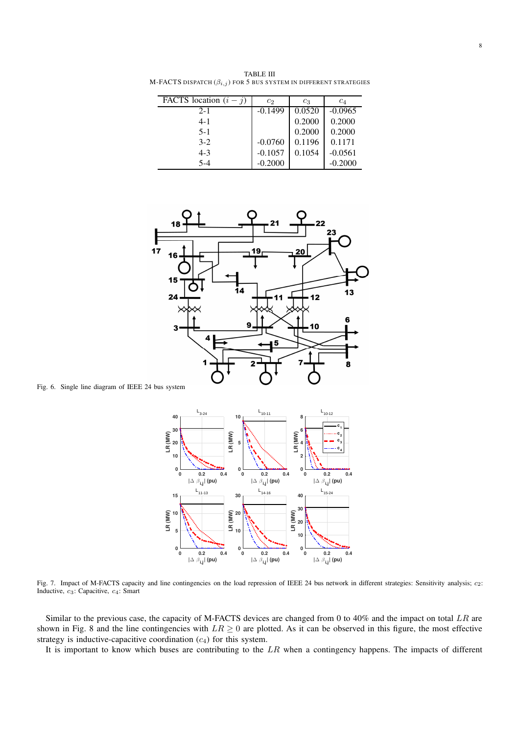TABLE III M-FACTS DISPATCH  $(\beta_{i,j})$  for 5 bus system in different strategies

| FACTS location $(i - j)$ | $c_2$     | $c_3$  | $c_4$     |
|--------------------------|-----------|--------|-----------|
| $2 - 1$                  | $-0.1499$ | 0.0520 | $-0.0965$ |
| $4 - 1$                  |           | 0.2000 | 0.2000    |
| $5-1$                    |           | 0.2000 | 0.2000    |
| $3-2$                    | $-0.0760$ | 0.1196 | 0.1171    |
| $4 - 3$                  | $-0.1057$ | 0.1054 | $-0.0561$ |
| $5 - 4$                  | $-0.2000$ |        | $-0.2000$ |



Fig. 6. Single line diagram of IEEE 24 bus system



Fig. 7. Impact of M-FACTS capacity and line contingencies on the load repression of IEEE 24 bus network in different strategies: Sensitivity analysis;  $c_2$ : Inductive,  $c_3$ : Capacitive,  $c_4$ : Smart

Similar to the previous case, the capacity of M-FACTS devices are changed from 0 to 40% and the impact on total  $LR$  are shown in Fig. 8 and the line contingencies with  $LR \geq 0$  are plotted. As it can be observed in this figure, the most effective strategy is inductive-capacitive coordination  $(c_4)$  for this system.

It is important to know which buses are contributing to the  $LR$  when a contingency happens. The impacts of different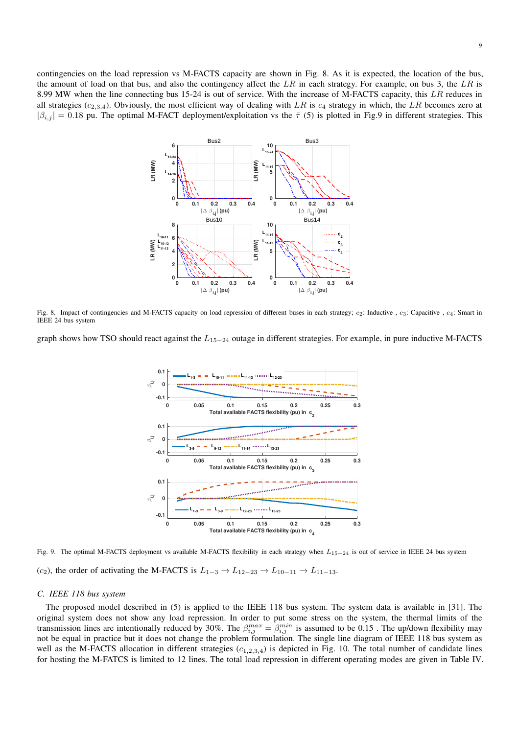contingencies on the load repression vs M-FACTS capacity are shown in Fig. 8. As it is expected, the location of the bus, the amount of load on that bus, and also the contingency affect the  $LR$  in each strategy. For example, on bus 3, the  $LR$  is 8.99 MW when the line connecting bus 15-24 is out of service. With the increase of M-FACTS capacity, this LR reduces in all strategies  $(c_{2,3,4})$ . Obviously, the most efficient way of dealing with LR is  $c_4$  strategy in which, the LR becomes zero at  $|\beta_{i,j}| = 0.18$  pu. The optimal M-FACT deployment/exploitation vs the  $\bar{\tau}$  (5) is plotted in Fig.9 in different strategies. This



Fig. 8. Impact of contingencies and M-FACTS capacity on load repression of different buses in each strategy;  $c_2$ : Inductive ,  $c_3$ : Capacitive ,  $c_4$ : Smart in IEEE 24 bus system

graph shows how TSO should react against the  $L_{15-24}$  outage in different strategies. For example, in pure inductive M-FACTS



Fig. 9. The optimal M-FACTS deployment vs available M-FACTS flexibility in each strategy when  $L_{15-24}$  is out of service in IEEE 24 bus system (c<sub>2</sub>), the order of activating the M-FACTS is  $L_{1-3} \rightarrow L_{12-23} \rightarrow L_{10-11} \rightarrow L_{11-13}$ .

#### *C. IEEE 118 bus system*

The proposed model described in (5) is applied to the IEEE 118 bus system. The system data is available in [31]. The original system does not show any load repression. In order to put some stress on the system, the thermal limits of the transmission lines are intentionally reduced by 30%. The  $\beta_{i,j}^{max} = \beta_{i,j}^{min}$  is assumed to be 0.15. The up/down flexibility may not be equal in practice but it does not change the problem formulation. The single line diagram of IEEE 118 bus system as well as the M-FACTS allocation in different strategies  $(c_{1,2,3,4})$  is depicted in Fig. 10. The total number of candidate lines for hosting the M-FATCS is limited to 12 lines. The total load repression in different operating modes are given in Table IV.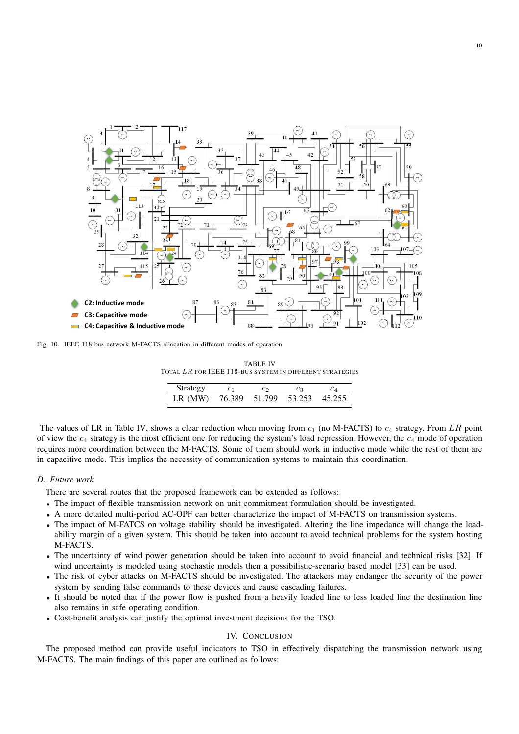

Fig. 10. IEEE 118 bus network M-FACTS allocation in different modes of operation

TABLE IV TOTAL LR FOR IEEE 118-BUS SYSTEM IN DIFFERENT STRATEGIES

| Strategy  | C1     | ဟ      | CЗ     |        |
|-----------|--------|--------|--------|--------|
| $LR$ (MW) | 76.389 | 51.799 | 53.253 | 45 255 |

The values of LR in Table IV, shows a clear reduction when moving from  $c_1$  (no M-FACTS) to  $c_4$  strategy. From LR point of view the  $c_4$  strategy is the most efficient one for reducing the system's load repression. However, the  $c_4$  mode of operation requires more coordination between the M-FACTS. Some of them should work in inductive mode while the rest of them are in capacitive mode. This implies the necessity of communication systems to maintain this coordination.

## *D. Future work*

There are several routes that the proposed framework can be extended as follows:

- The impact of flexible transmission network on unit commitment formulation should be investigated.
- A more detailed multi-period AC-OPF can better characterize the impact of M-FACTS on transmission systems.
- The impact of M-FATCS on voltage stability should be investigated. Altering the line impedance will change the loadability margin of a given system. This should be taken into account to avoid technical problems for the system hosting M-FACTS.
- The uncertainty of wind power generation should be taken into account to avoid financial and technical risks [32]. If wind uncertainty is modeled using stochastic models then a possibilistic-scenario based model [33] can be used.
- The risk of cyber attacks on M-FACTS should be investigated. The attackers may endanger the security of the power system by sending false commands to these devices and cause cascading failures.
- It should be noted that if the power flow is pushed from a heavily loaded line to less loaded line the destination line also remains in safe operating condition.
- Cost-benefit analysis can justify the optimal investment decisions for the TSO.

# IV. CONCLUSION

The proposed method can provide useful indicators to TSO in effectively dispatching the transmission network using M-FACTS. The main findings of this paper are outlined as follows: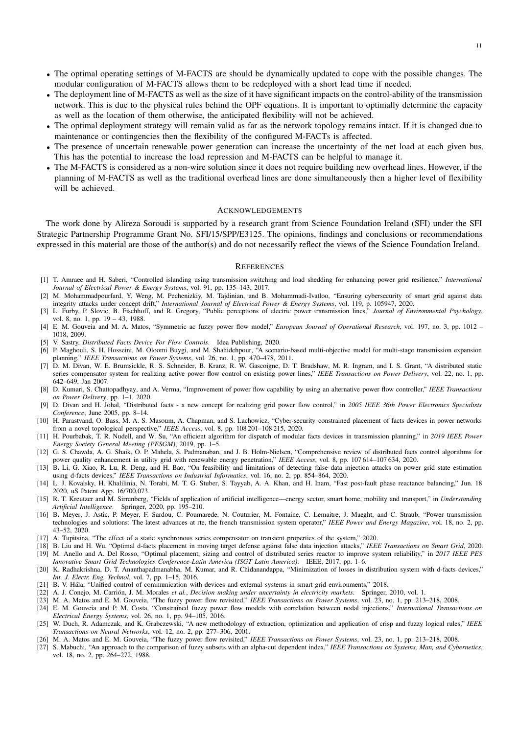- The optimal operating settings of M-FACTS are should be dynamically updated to cope with the possible changes. The modular configuration of M-FACTS allows them to be redeployed with a short lead time if needed.
- The deployment line of M-FACTS as well as the size of it have significant impacts on the control-ability of the transmission network. This is due to the physical rules behind the OPF equations. It is important to optimally determine the capacity as well as the location of them otherwise, the anticipated flexibility will not be achieved.
- The optimal deployment strategy will remain valid as far as the network topology remains intact. If it is changed due to maintenance or contingencies then the flexibility of the configured M-FACTs is affected.
- The presence of uncertain renewable power generation can increase the uncertainty of the net load at each given bus. This has the potential to increase the load repression and M-FACTS can be helpful to manage it.
- The M-FACTS is considered as a non-wire solution since it does not require building new overhead lines. However, if the planning of M-FACTS as well as the traditional overhead lines are done simultaneously then a higher level of flexibility will be achieved.

#### ACKNOWLEDGEMENTS

The work done by Alireza Soroudi is supported by a research grant from Science Foundation Ireland (SFI) under the SFI Strategic Partnership Programme Grant No. SFI/15/SPP/E3125. The opinions, findings and conclusions or recommendations expressed in this material are those of the author(s) and do not necessarily reflect the views of the Science Foundation Ireland.

#### **REFERENCES**

- [1] T. Amraee and H. Saberi, "Controlled islanding using transmission switching and load shedding for enhancing power grid resilience," *International Journal of Electrical Power & Energy Systems*, vol. 91, pp. 135–143, 2017.
- [2] M. Mohammadpourfard, Y. Weng, M. Pechenizkiy, M. Tajdinian, and B. Mohammadi-Ivatloo, "Ensuring cybersecurity of smart grid against data integrity attacks under concept drift," *International Journal of Electrical Power & Energy Systems*, vol. 119, p. 105947, 2020.
- [3] L. Furby, P. Slovic, B. Fischhoff, and R. Gregory, "Public perceptions of electric power transmission lines," *Journal of Environmental Psychology*, vol. 8, no. 1, pp. 19 – 43, 1988.
- [4] E. M. Gouveia and M. A. Matos, "Symmetric ac fuzzy power flow model," *European Journal of Operational Research*, vol. 197, no. 3, pp. 1012 1018, 2009.
- [5] V. Sastry, *Distributed Facts Device For Flow Controls*. Idea Publishing, 2020.
- [6] P. Maghouli, S. H. Hosseini, M. Oloomi Buygi, and M. Shahidehpour, "A scenario-based multi-objective model for multi-stage transmission expansion planning," *IEEE Transactions on Power Systems*, vol. 26, no. 1, pp. 470–478, 2011.
- [7] D. M. Divan, W. E. Brumsickle, R. S. Schneider, B. Kranz, R. W. Gascoigne, D. T. Bradshaw, M. R. Ingram, and I. S. Grant, "A distributed static series compensator system for realizing active power flow control on existing power lines," *IEEE Transactions on Power Delivery*, vol. 22, no. 1, pp. 642–649, Jan 2007.
- [8] D. Kumari, S. Chattopadhyay, and A. Verma, "Improvement of power flow capability by using an alternative power flow controller," *IEEE Transactions on Power Delivery*, pp. 1–1, 2020.
- [9] D. Divan and H. Johal, "Distributed facts a new concept for realizing grid power flow control," in *2005 IEEE 36th Power Electronics Specialists Conference*, June 2005, pp. 8–14.
- [10] H. Parastvand, O. Bass, M. A. S. Masoum, A. Chapman, and S. Lachowicz, "Cyber-security constrained placement of facts devices in power networks from a novel topological perspective," *IEEE Access*, vol. 8, pp. 108 201–108 215, 2020.
- [11] H. Pourbabak, T. R. Nudell, and W. Su, "An efficient algorithm for dispatch of modular facts devices in transmission planning," in *2019 IEEE Power Energy Society General Meeting (PESGM)*, 2019, pp. 1–5.
- [12] G. S. Chawda, A. G. Shaik, O. P. Mahela, S. Padmanaban, and J. B. Holm-Nielsen, "Comprehensive review of distributed facts control algorithms for power quality enhancement in utility grid with renewable energy penetration," *IEEE Access*, vol. 8, pp. 107 614–107 634, 2020.
- [13] B. Li, G. Xiao, R. Lu, R. Deng, and H. Bao, "On feasibility and limitations of detecting false data injection attacks on power grid state estimation using d-facts devices," *IEEE Transactions on Industrial Informatics*, vol. 16, no. 2, pp. 854–864, 2020.
- [14] L. J. Kovalsky, H. Khalilinia, N. Torabi, M. T. G. Stuber, S. Tayyab, A. A. Khan, and H. Inam, "Fast post-fault phase reactance balancing," Jun. 18 2020, uS Patent App. 16/700,073.
- [15] R. T. Kreutzer and M. Sirrenberg, "Fields of application of artificial intelligence—energy sector, smart home, mobility and transport," in *Understanding Artificial Intelligence*. Springer, 2020, pp. 195–210.
- [16] B. Meyer, J. Astic, P. Meyer, F. Sardou, C. Poumarede, N. Couturier, M. Fontaine, C. Lemaitre, J. Maeght, and C. Straub, "Power transmission technologies and solutions: The latest advances at rte, the french transmission system operator," *IEEE Power and Energy Magazine*, vol. 18, no. 2, pp. 43–52, 2020.
- [17] A. Tupitsina, "The effect of a static synchronous series compensator on transient properties of the system," 2020.
- [18] B. Liu and H. Wu, "Optimal d-facts placement in moving target defense against false data injection attacks," *IEEE Transactions on Smart Grid*, 2020. [19] M. Anello and A. Del Rosso, "Optimal placement, sizing and control of distributed series reactor to improve system reliability," in *2017 IEEE PES Innovative Smart Grid Technologies Conference-Latin America (ISGT Latin America)*. IEEE, 2017, pp. 1–6.
- [20] K. Radhakrishna, D. T. Ananthapadmanabha, M. Kumar, and R. Chidanandappa, "Minimization of losses in distribution system with d-facts devices," *Int. J. Electr. Eng. Technol*, vol. 7, pp. 1–15, 2016.
- [21] B. V. Hála, "Unified control of communication with devices and external systems in smart grid environments," 2018.
- [22] A. J. Conejo, M. Carrión, J. M. Morales *et al., Decision making under uncertainty in electricity markets*. Springer, 2010, vol. 1.
- [23] M. A. Matos and E. M. Gouveia, "The fuzzy power flow revisited," *IEEE Transactions on Power Systems*, vol. 23, no. 1, pp. 213–218, 2008.
- [24] E. M. Gouveia and P. M. Costa, "Constrained fuzzy power flow models with correlation between nodal injections," *International Transactions on Electrical Energy Systems*, vol. 26, no. 1, pp. 94–105, 2016.
- [25] W. Duch, R. Adamczak, and K. Grabczewski, "A new methodology of extraction, optimization and application of crisp and fuzzy logical rules," *IEEE Transactions on Neural Networks*, vol. 12, no. 2, pp. 277–306, 2001.
- [26] M. A. Matos and E. M. Gouveia, "The fuzzy power flow revisited," *IEEE Transactions on Power Systems*, vol. 23, no. 1, pp. 213–218, 2008.
- [27] S. Mabuchi, "An approach to the comparison of fuzzy subsets with an alpha-cut dependent index," *IEEE Transactions on Systems, Man, and Cybernetics*, vol. 18, no. 2, pp. 264–272, 1988.